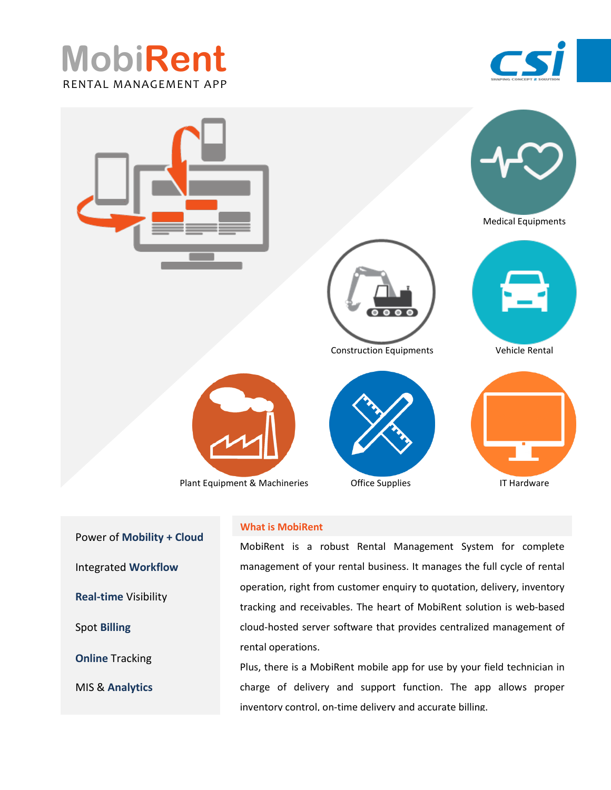





 Power of **Mobility + Cloud** Integrated **Workflow Real-time** Visibility Spot **Billing Online** Tracking MIS & **Analytics**

## **What is MobiRent**

MobiRent is a robust Rental Management System for complete management of your rental business. It manages the full cycle of rental operation, right from customer enquiry to quotation, delivery, inventory tracking and receivables. The heart of MobiRent solution is web-based cloud-hosted server software that provides centralized management of rental operations.

Plus, there is a MobiRent mobile app for use by your field technician in charge of delivery and support function. The app allows proper inventory control, on-time delivery and accurate billing.